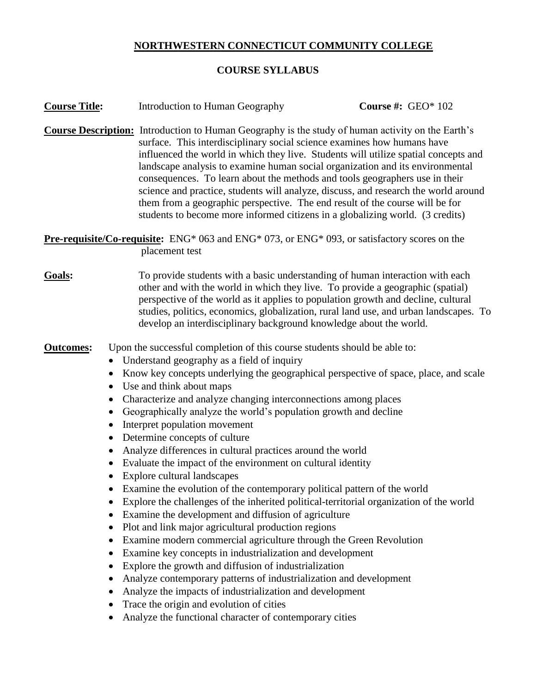# **NORTHWESTERN CONNECTICUT COMMUNITY COLLEGE**

# **COURSE SYLLABUS**

| <b>Course Title:</b>                                                                                                  |           | Introduction to Human Geography                                                                                                                                                                                                                                                                                                                                                                                                                                                                                                                                                                                                                                                                                                                                                                                                                                                                                                                                                                                                                                                                                                                                                                                                                                                                                                               | Course #: $GEO*102$ |  |
|-----------------------------------------------------------------------------------------------------------------------|-----------|-----------------------------------------------------------------------------------------------------------------------------------------------------------------------------------------------------------------------------------------------------------------------------------------------------------------------------------------------------------------------------------------------------------------------------------------------------------------------------------------------------------------------------------------------------------------------------------------------------------------------------------------------------------------------------------------------------------------------------------------------------------------------------------------------------------------------------------------------------------------------------------------------------------------------------------------------------------------------------------------------------------------------------------------------------------------------------------------------------------------------------------------------------------------------------------------------------------------------------------------------------------------------------------------------------------------------------------------------|---------------------|--|
|                                                                                                                       |           | <b>Course Description:</b> Introduction to Human Geography is the study of human activity on the Earth's<br>surface. This interdisciplinary social science examines how humans have<br>influenced the world in which they live. Students will utilize spatial concepts and<br>landscape analysis to examine human social organization and its environmental<br>consequences. To learn about the methods and tools geographers use in their<br>science and practice, students will analyze, discuss, and research the world around<br>them from a geographic perspective. The end result of the course will be for<br>students to become more informed citizens in a globalizing world. (3 credits)                                                                                                                                                                                                                                                                                                                                                                                                                                                                                                                                                                                                                                            |                     |  |
|                                                                                                                       |           | <b>Pre-requisite/Co-requisite:</b> ENG* 063 and ENG* 073, or ENG* 093, or satisfactory scores on the<br>placement test                                                                                                                                                                                                                                                                                                                                                                                                                                                                                                                                                                                                                                                                                                                                                                                                                                                                                                                                                                                                                                                                                                                                                                                                                        |                     |  |
| Goals:                                                                                                                |           | To provide students with a basic understanding of human interaction with each<br>other and with the world in which they live. To provide a geographic (spatial)<br>perspective of the world as it applies to population growth and decline, cultural<br>studies, politics, economics, globalization, rural land use, and urban landscapes. To<br>develop an interdisciplinary background knowledge about the world.                                                                                                                                                                                                                                                                                                                                                                                                                                                                                                                                                                                                                                                                                                                                                                                                                                                                                                                           |                     |  |
| <b>Outcomes:</b><br>$\bullet$<br>$\bullet$<br>$\bullet$<br>$\bullet$<br>$\bullet$<br>$\bullet$<br>٠<br>$\bullet$<br>٠ | $\bullet$ | Upon the successful completion of this course students should be able to:<br>Understand geography as a field of inquiry<br>Know key concepts underlying the geographical perspective of space, place, and scale<br>Use and think about maps<br>• Characterize and analyze changing interconnections among places<br>Geographically analyze the world's population growth and decline<br>Interpret population movement<br>Determine concepts of culture<br>Analyze differences in cultural practices around the world<br>Evaluate the impact of the environment on cultural identity<br>Explore cultural landscapes<br>Examine the evolution of the contemporary political pattern of the world<br>Explore the challenges of the inherited political-territorial organization of the world<br>Examine the development and diffusion of agriculture<br>Plot and link major agricultural production regions<br>Examine modern commercial agriculture through the Green Revolution<br>Examine key concepts in industrialization and development<br>Explore the growth and diffusion of industrialization<br>Analyze contemporary patterns of industrialization and development<br>Analyze the impacts of industrialization and development<br>Trace the origin and evolution of cities<br>Analyze the functional character of contemporary cities |                     |  |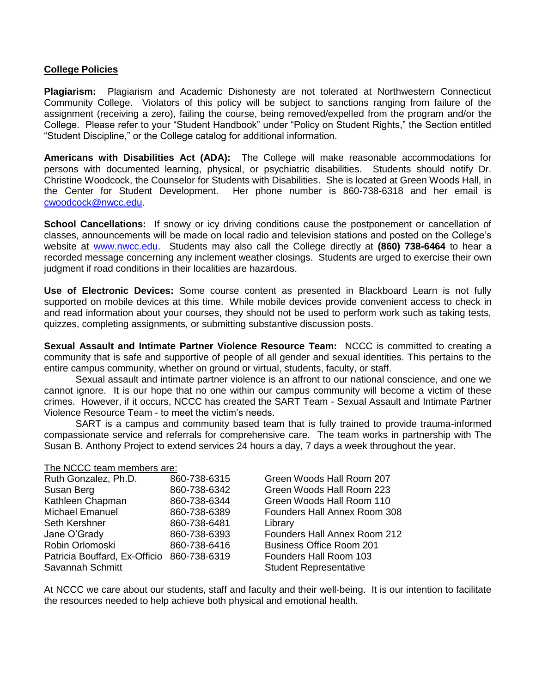#### **College Policies**

**Plagiarism:** Plagiarism and Academic Dishonesty are not tolerated at Northwestern Connecticut Community College. Violators of this policy will be subject to sanctions ranging from failure of the assignment (receiving a zero), failing the course, being removed/expelled from the program and/or the College. Please refer to your "Student Handbook" under "Policy on Student Rights," the Section entitled "Student Discipline," or the College catalog for additional information.

**Americans with Disabilities Act (ADA):** The College will make reasonable accommodations for persons with documented learning, physical, or psychiatric disabilities. Students should notify Dr. Christine Woodcock, the Counselor for Students with Disabilities. She is located at Green Woods Hall, in the Center for Student Development. Her phone number is 860-738-6318 and her email is [cwoodcock@nwcc.edu.](mailto:cwoodcock@nwcc.edu)

**School Cancellations:** If snowy or icy driving conditions cause the postponement or cancellation of classes, announcements will be made on local radio and television stations and posted on the College's website at [www.nwcc.edu.](http://www.nwcc.edu/) Students may also call the College directly at **(860) 738-6464** to hear a recorded message concerning any inclement weather closings. Students are urged to exercise their own judgment if road conditions in their localities are hazardous.

**Use of Electronic Devices:** Some course content as presented in Blackboard Learn is not fully supported on mobile devices at this time. While mobile devices provide convenient access to check in and read information about your courses, they should not be used to perform work such as taking tests, quizzes, completing assignments, or submitting substantive discussion posts.

**Sexual Assault and Intimate Partner Violence Resource Team:** NCCC is committed to creating a community that is safe and supportive of people of all gender and sexual identities. This pertains to the entire campus community, whether on ground or virtual, students, faculty, or staff.

Sexual assault and intimate partner violence is an affront to our national conscience, and one we cannot ignore. It is our hope that no one within our campus community will become a victim of these crimes. However, if it occurs, NCCC has created the SART Team - Sexual Assault and Intimate Partner Violence Resource Team - to meet the victim's needs.

SART is a campus and community based team that is fully trained to provide trauma-informed compassionate service and referrals for comprehensive care. The team works in partnership with The Susan B. Anthony Project to extend services 24 hours a day, 7 days a week throughout the year.

#### The NCCC team members are:

| Ruth Gonzalez, Ph.D.                       | 860-738-6315 | Green Woods Hall Room 207           |
|--------------------------------------------|--------------|-------------------------------------|
| Susan Berg                                 | 860-738-6342 | Green Woods Hall Room 223           |
| Kathleen Chapman                           | 860-738-6344 | Green Woods Hall Room 110           |
| Michael Emanuel                            | 860-738-6389 | Founders Hall Annex Room 308        |
| <b>Seth Kershner</b>                       | 860-738-6481 | Library                             |
| Jane O'Grady                               | 860-738-6393 | <b>Founders Hall Annex Room 212</b> |
| Robin Orlomoski                            | 860-738-6416 | <b>Business Office Room 201</b>     |
| Patricia Bouffard, Ex-Officio 860-738-6319 |              | Founders Hall Room 103              |
| Savannah Schmitt                           |              | <b>Student Representative</b>       |

At NCCC we care about our students, staff and faculty and their well-being. It is our intention to facilitate the resources needed to help achieve both physical and emotional health.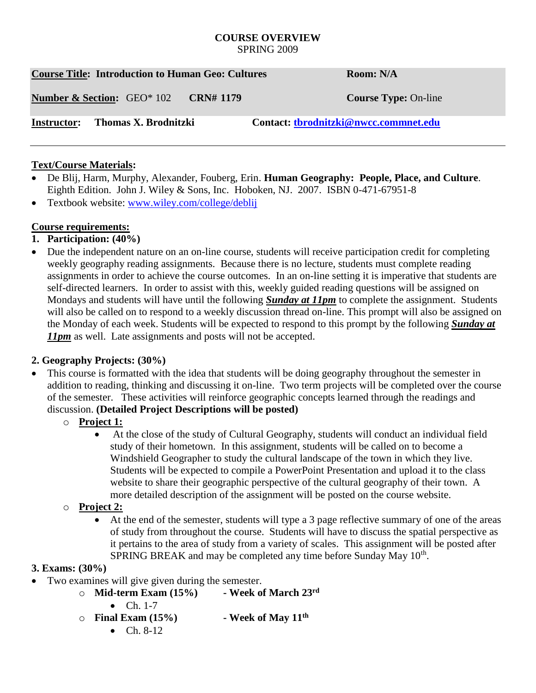#### **COURSE OVERVIEW** SPRING 2009

|                    | <b>Course Title: Introduction to Human Geo: Cultures</b> | Room: N/A        |                                       |
|--------------------|----------------------------------------------------------|------------------|---------------------------------------|
|                    | <b>Number &amp; Section:</b> GEO* 102                    | <b>CRN#</b> 1179 | <b>Course Type: On-line</b>           |
| <b>Instructor:</b> | Thomas X. Brodnitzki                                     |                  | Contact: tbrodnitzki@nwcc.commnet.edu |

### **Text/Course Materials:**

- De Blij, Harm, Murphy, Alexander, Fouberg, Erin. **Human Geography: People, Place, and Culture**. Eighth Edition. John J. Wiley & Sons, Inc. Hoboken, NJ. 2007. ISBN 0-471-67951-8
- Textbook website: [www.wiley.com/college/deblij](http://www.wiley.com/college/deblij)

## **Course requirements:**

- **1. Participation: (40%)**
- Due the independent nature on an on-line course, students will receive participation credit for completing weekly geography reading assignments. Because there is no lecture, students must complete reading assignments in order to achieve the course outcomes. In an on-line setting it is imperative that students are self-directed learners. In order to assist with this, weekly guided reading questions will be assigned on Mondays and students will have until the following *Sunday at 11pm* to complete the assignment. Students will also be called on to respond to a weekly discussion thread on-line. This prompt will also be assigned on the Monday of each week. Students will be expected to respond to this prompt by the following *Sunday at 11pm* as well. Late assignments and posts will not be accepted.

# **2. Geography Projects: (30%)**

- This course is formatted with the idea that students will be doing geography throughout the semester in addition to reading, thinking and discussing it on-line. Two term projects will be completed over the course of the semester. These activities will reinforce geographic concepts learned through the readings and discussion. **(Detailed Project Descriptions will be posted)**
	- o **Project 1:**
		- At the close of the study of Cultural Geography, students will conduct an individual field study of their hometown. In this assignment, students will be called on to become a Windshield Geographer to study the cultural landscape of the town in which they live. Students will be expected to compile a PowerPoint Presentation and upload it to the class website to share their geographic perspective of the cultural geography of their town. A more detailed description of the assignment will be posted on the course website.
	- o **Project 2:** 
		- At the end of the semester, students will type a 3 page reflective summary of one of the areas of study from throughout the course. Students will have to discuss the spatial perspective as it pertains to the area of study from a variety of scales. This assignment will be posted after SPRING BREAK and may be completed any time before Sunday May 10<sup>th</sup>.

## **3. Exams: (30%)**

- Two examines will give given during the semester.
	- o **Mid-term Exam (15%) - Week of March 23rd** •  $Ch. 1-7$ o **Final Exam (15%) - Week of May 11th**
		- $Ch. 8-12$